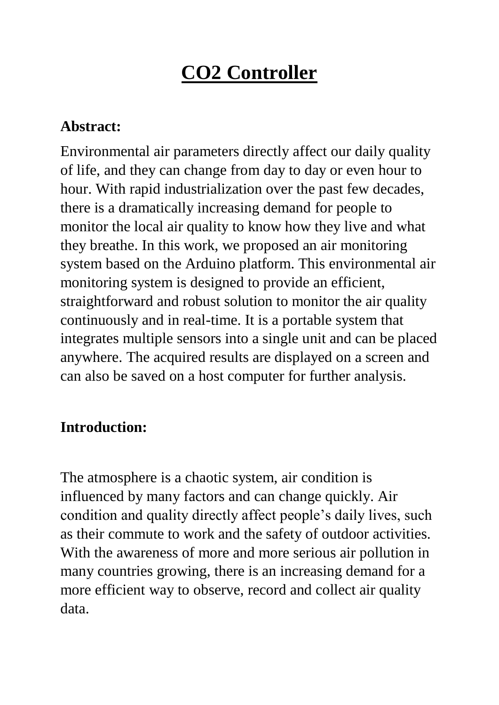# **CO2 Controller**

#### **Abstract:**

Environmental air parameters directly affect our daily quality of life, and they can change from day to day or even hour to hour. With rapid industrialization over the past few decades, there is a dramatically increasing demand for people to monitor the local air quality to know how they live and what they breathe. In this work, we proposed an air monitoring system based on the Arduino platform. This environmental air monitoring system is designed to provide an efficient, straightforward and robust solution to monitor the air quality continuously and in real-time. It is a portable system that integrates multiple sensors into a single unit and can be placed anywhere. The acquired results are displayed on a screen and can also be saved on a host computer for further analysis.

#### **Introduction:**

The atmosphere is a chaotic system, air condition is influenced by many factors and can change quickly. Air condition and quality directly affect people's daily lives, such as their commute to work and the safety of outdoor activities. With the awareness of more and more serious air pollution in many countries growing, there is an increasing demand for a more efficient way to observe, record and collect air quality data.